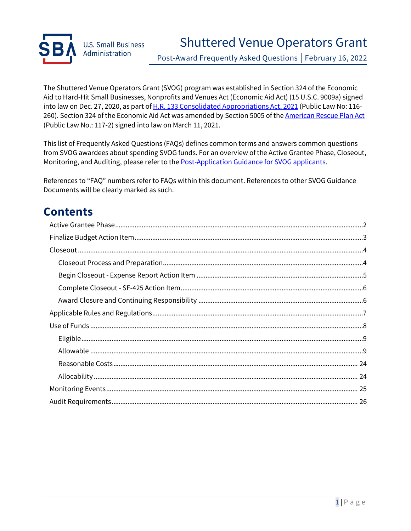

Post-Award Frequently Asked Questions | February 16, 2022

The Shuttered Venue Operators Grant (SVOG) program was established in Section 324 of the Economic Aid to Hard-Hit Small Businesses, Nonprofits and Venues Act (Economic Aid Act) (15 U.S.C. 9009a) signed into law on Dec. 27, 2020, as part of [H.R. 133 Consolidated Appropriations Act, 2021](https://gcc02.safelinks.protection.outlook.com/?url=https%3A%2F%2Fwww.congress.gov%2Fbill%2F116th-congress%2Fhouse-bill%2F133%2Ftext&data=04%7C01%7CKathryn.Frost%40sba.gov%7Cf7f444a773c94b7e25e108d905aa5f90%7C3c89fd8a7f684667aa1541ebf2208961%7C1%7C0%7C637547051574980738%7CUnknown%7CTWFpbGZsb3d8eyJWIjoiMC4wLjAwMDAiLCJQIjoiV2luMzIiLCJBTiI6Ik1haWwiLCJXVCI6Mn0%3D%7C1000&sdata=JpB5hWwHDVBHuuHXXjk2pJvpVIzm1LkXhWF6yvbjYPY%3D&reserved=0) (Public Law No: 116-260). Section 324 of the Economic Aid Act was amended by Section 5005 of the [American Rescue Plan Act](https://www.congress.gov/bill/117th-congress/house-bill/1319/text/pl?overview=closed) (Public Law No.: 117-2) signed into law on March 11, 2021.

This list of Frequently Asked Questions (FAQs) defines common terms and answers common questions from SVOG awardees about spending SVOG funds. For an overview of the Active Grantee Phase, Closeout, Monitoring, and Auditing, please refer to th[e Post-Application Guidance for SVOG applicants.](https://www.sba.gov/document/support-post-application-guidance-svog-applicants)

References to "FAQ" numbers refer to FAQs within this document. References to other SVOG Guidance Documents will be clearly marked as such.

# **Contents**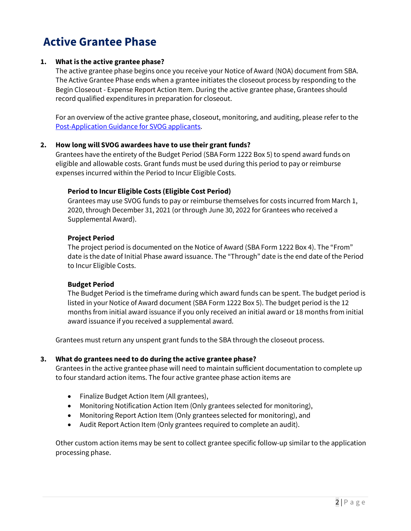# <span id="page-1-0"></span>**Active Grantee Phase**

#### **1. What is the active grantee phase?**

The active grantee phase begins once you receive your Notice of Award (NOA) document from SBA. The Active Grantee Phase ends when a grantee initiates the closeout process by responding to the Begin Closeout - Expense Report Action Item. During the active grantee phase, Grantees should record qualified expenditures in preparation for closeout.

For an overview of the active grantee phase, closeout, monitoring, and auditing, please refer to the [Post-Application Guidance for SVOG applicants.](https://www.sba.gov/document/support-post-application-guidance-svog-applicants)

#### **2. How long will SVOG awardees have to use their grant funds?**

Grantees have the entirety of the Budget Period (SBA Form 1222 Box 5) to spend award funds on eligible and allowable costs. Grant funds must be used during this period to pay or reimburse expenses incurred within the Period to Incur Eligible Costs.

#### **Period to Incur Eligible Costs (Eligible Cost Period)**

Grantees may use SVOG funds to pay or reimburse themselves for costs incurred from March 1, 2020, through December 31, 2021 (or through June 30, 2022 for Grantees who received a Supplemental Award).

#### **Project Period**

The project period is documented on the Notice of Award (SBA Form 1222 Box 4). The "From" date is the date of Initial Phase award issuance. The "Through" date is the end date of the Period to Incur Eligible Costs.

#### **Budget Period**

The Budget Period is the timeframe during which award funds can be spent. The budget period is listed in your Notice of Award document (SBA Form 1222 Box 5). The budget period is the 12 months from initial award issuance if you only received an initial award or 18 months from initial award issuance if you received a supplemental award.

Grantees must return any unspent grant funds to the SBA through the closeout process.

#### **3. What do grantees need to do during the active grantee phase?**

Grantees in the active grantee phase will need to maintain sufficient documentation to complete up to four standard action items. The four active grantee phase action items are

- Finalize Budget Action Item (All grantees),
- Monitoring Notification Action Item (Only grantees selected for monitoring),
- Monitoring Report Action Item (Only grantees selected for monitoring), and
- Audit Report Action Item (Only grantees required to complete an audit).

Other custom action items may be sent to collect grantee specific follow-up similar to the application processing phase.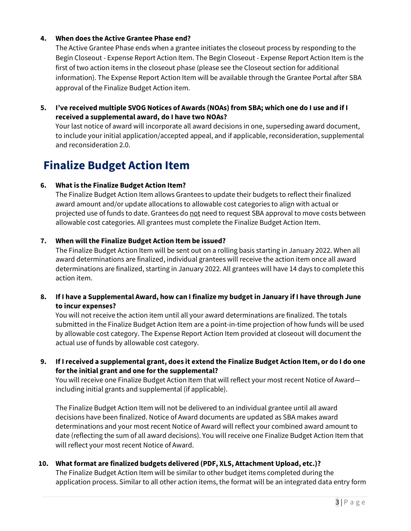#### **4. When does the Active Grantee Phase end?**

The Active Grantee Phase ends when a grantee initiates the closeout process by responding to the Begin Closeout - Expense Report Action Item. The Begin Closeout - Expense Report Action Item is the first of two action items in the closeout phase (please see the Closeout section for additional information). The Expense Report Action Item will be available through the Grantee Portal after SBA approval of the Finalize Budget Action item.

**5. I've received multiple SVOG Notices of Awards (NOAs) from SBA; which one do I use and if I received a supplemental award, do I have two NOAs?**

Your last notice of award will incorporate all award decisions in one, superseding award document, to include your initial application/accepted appeal, and if applicable, reconsideration, supplemental and reconsideration 2.0.

# <span id="page-2-0"></span>**Finalize Budget Action Item**

#### **6. What is the Finalize Budget Action Item?**

The Finalize Budget Action Item allows Grantees to update their budgets to reflect their finalized award amount and/or update allocations to allowable cost categories to align with actual or projected use of funds to date. Grantees do not need to request SBA approval to move costs between allowable cost categories. All grantees must complete the Finalize Budget Action Item.

#### **7. When will the Finalize Budget Action Item be issued?**

The Finalize Budget Action Item will be sent out on a rolling basis starting in January 2022. When all award determinations are finalized, individual grantees will receive the action item once all award determinations are finalized, starting in January 2022. All grantees will have 14 days to complete this action item.

#### **8. If I have a Supplemental Award, how can I finalize my budget in January if I have through June to incur expenses?**

You will not receive the action item until all your award determinations are finalized. The totals submitted in the Finalize Budget Action Item are a point-in-time projection of how funds will be used by allowable cost category. The Expense Report Action Item provided at closeout will document the actual use of funds by allowable cost category.

**9. If Ireceived a supplemental grant, does it extend the Finalize Budget Action Item, or do I do one for the initial grant and one for the supplemental?** 

You will receive one Finalize Budget Action Item that will reflect your most recent Notice of Award including initial grants and supplemental (if applicable).

The Finalize Budget Action Item will not be delivered to an individual grantee until all award decisions have been finalized. Notice of Award documents are updated as SBA makes award determinations and your most recent Notice of Award will reflect your combined award amount to date (reflecting the sum of all award decisions). You will receive one Finalize Budget Action Item that will reflect your most recent Notice of Award.

#### **10. What format are finalized budgets delivered (PDF, XLS, Attachment Upload, etc.)?**

The Finalize Budget Action Item will be similar to other budget items completed during the application process. Similar to all other action items, the format will be an integrated data entry form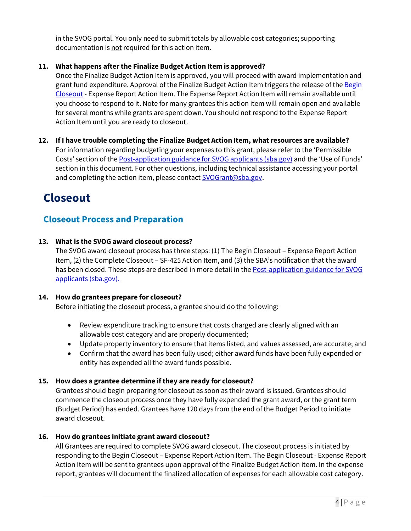in the SVOG portal. You only need to submit totals by allowable cost categories; supporting documentation is not required for this action item.

#### **11. What happens after the Finalize Budget Action Item is approved?**

Once the Finalize Budget Action Item is approved, you will proceed with award implementation and grant fund expenditure. Approval of the Finalize Budget Action Item triggers the release of the Begin [Closeout](#page-4-1) - Expense Report Action Item. The Expense Report Action Item will remain available until you choose to respond to it. Note for many grantees this action item will remain open and available for several months while grants are spent down. You should not respond to the Expense Report Action Item until you are ready to closeout.

**12. If I have trouble completing the Finalize Budget Action Item, what resources are available?** For information regarding budgeting your expenses to this grant, please refer to the 'Permissible Costs' section of th[e Post-application guidance for SVOG applicants \(sba.gov\)](https://www.sba.gov/document/support-post-application-guidance-svog-applicants) and the 'Use of Funds' section in this document. For other questions, including technical assistance accessing your portal and completing the action item, please contact [SVOGrant@sba.gov.](mailto:SVOGrant@sba.gov)

# <span id="page-3-0"></span>**Closeout**

## <span id="page-3-1"></span>**Closeout Process and Preparation**

#### **13. What is the SVOG award closeout process?**

The SVOG award closeout process has three steps: (1) The Begin Closeout – Expense Report Action Item, (2) the Complete Closeout – SF-425 Action Item, and (3) the SBA's notification that the award has been closed. These steps are described in more detail in the [Post-application guidance for SVOG](https://www.sba.gov/document/support-post-application-guidance-svog-applicants)  [applicants \(sba.gov\).](https://www.sba.gov/document/support-post-application-guidance-svog-applicants)

#### **14. How do grantees prepare for closeout?**

Before initiating the closeout process, a grantee should do the following:

- Review expenditure tracking to ensure that costs charged are clearly aligned with an allowable cost category and are properly documented;
- Update property inventory to ensure that items listed, and values assessed, are accurate; and
- Confirm that the award has been fully used; either award funds have been fully expended or entity has expended all the award funds possible.

#### **15. How does a grantee determine if they are ready for closeout?**

Grantees should begin preparing for closeout as soon as their award is issued. Grantees should commence the closeout process once they have fully expended the grant award, or the grant term (Budget Period) has ended. Grantees have 120 days from the end of the Budget Period to initiate award closeout.

#### **16. How do grantees initiate grant award closeout?**

All Grantees are required to complete SVOG award closeout. The closeout process is initiated by responding to the Begin Closeout – Expense Report Action Item. The Begin Closeout - Expense Report Action Item will be sent to grantees upon approval of the Finalize Budget Action item. In the expense report, grantees will document the finalized allocation of expenses for each allowable cost category.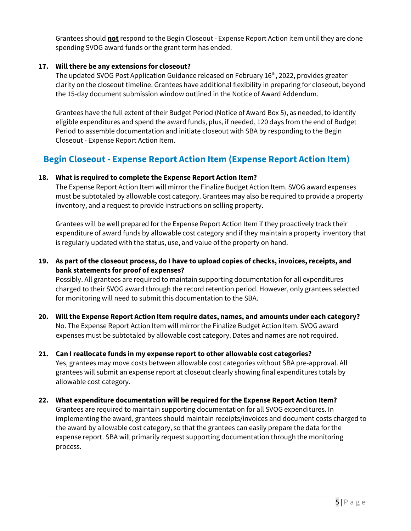Grantees should **not** respond to the Begin Closeout - Expense Report Action item until they are done spending SVOG award funds or the grant term has ended.

#### **17. Will there be any extensions for closeout?**

The updated SVOG Post Application Guidance released on February 16th, 2022, provides greater clarity on the closeout timeline. Grantees have additional flexibility in preparing for closeout, beyond the 15-day document submission window outlined in the Notice of Award Addendum.

<span id="page-4-1"></span>Grantees have the full extent of their Budget Period (Notice of Award Box 5), as needed, to identify eligible expenditures and spend the award funds, plus, if needed, 120 days from the end of Budget Period to assemble documentation and initiate closeout with SBA by responding to the Begin Closeout - Expense Report Action Item.

## <span id="page-4-0"></span>**Begin Closeout - Expense Report Action Item (Expense Report Action Item)**

#### **18. What is required to complete the Expense Report Action Item?**

The Expense Report Action Item will mirror the Finalize Budget Action Item. SVOG award expenses must be subtotaled by allowable cost category. Grantees may also be required to provide a property inventory, and a request to provide instructions on selling property.

Grantees will be well prepared for the Expense Report Action Item if they proactively track their expenditure of award funds by allowable cost category and if they maintain a property inventory that is regularly updated with the status, use, and value of the property on hand.

#### **19. As part of the closeout process, do I have to upload copies of checks, invoices, receipts, and bank statements for proof of expenses?**

Possibly. All grantees are required to maintain supporting documentation for all expenditures charged to their SVOG award through the record retention period. However, only grantees selected for monitoring will need to submit this documentation to the SBA.

**20. Will the Expense Report Action Item require dates, names, and amounts under each category?** No. The Expense Report Action Item will mirror the Finalize Budget Action Item. SVOG award expenses must be subtotaled by allowable cost category. Dates and names are not required.

# **21. Can I reallocate funds in my expense report to other allowable cost categories?**

Yes, grantees may move costs between allowable cost categories without SBA pre-approval. All grantees will submit an expense report at closeout clearly showing final expenditures totals by allowable cost category.

#### **22. What expenditure documentation will be required for the Expense Report Action Item?**

Grantees are required to maintain supporting documentation for all SVOG expenditures. In implementing the award, grantees should maintain receipts/invoices and document costs charged to the award by allowable cost category, so that the grantees can easily prepare the data for the expense report. SBA will primarily request supporting documentation through the monitoring process.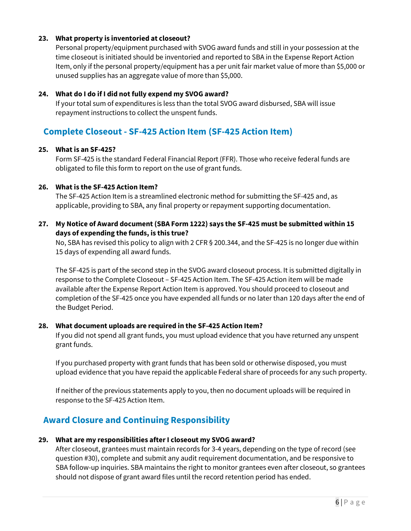#### **23. What property is inventoried at closeout?**

Personal property/equipment purchased with SVOG award funds and still in your possession at the time closeout is initiated should be inventoried and reported to SBA in the Expense Report Action Item, only if the personal property/equipment has a per unit fair market value of more than \$5,000 or unused supplies has an aggregate value of more than \$5,000.

#### **24. What do I do if I did not fully expend my SVOG award?**

If your total sum of expenditures is less than the total SVOG award disbursed, SBA will issue repayment instructions to collect the unspent funds.

### <span id="page-5-0"></span>**Complete Closeout - SF-425 Action Item (SF-425 Action Item)**

#### **25. What is an SF-425?**

Form SF-425 is the standard Federal Financial Report (FFR). Those who receive federal funds are obligated to file this form to report on the use of grant funds.

#### **26. What is the SF-425 Action Item?**

The SF-425 Action Item is a streamlined electronic method for submitting the SF-425 and, as applicable, providing to SBA, any final property or repayment supporting documentation.

#### **27. My Notice of Award document (SBA Form 1222) says the SF-425 must be submitted within 15 days of expending the funds, is this true?**

No, SBA has revised this policy to align with 2 CFR § 200.344, and the SF-425 is no longer due within 15 days of expending all award funds.

The SF-425 is part of the second step in the SVOG award closeout process. It is submitted digitally in response to the Complete Closeout – SF-425 Action Item. The SF-425 Action item will be made available after the Expense Report Action Item is approved. You should proceed to closeout and completion of the SF-425 once you have expended all funds or no later than 120 days after the end of the Budget Period.

#### **28. What document uploads are required in the SF-425 Action Item?**

If you did not spend all grant funds, you must upload evidence that you have returned any unspent grant funds.

If you purchased property with grant funds that has been sold or otherwise disposed, you must upload evidence that you have repaid the applicable Federal share of proceeds for any such property.

If neither of the previous statements apply to you, then no document uploads will be required in response to the SF-425 Action Item.

### <span id="page-5-1"></span>**Award Closure and Continuing Responsibility**

#### **29. What are my responsibilities after I closeout my SVOG award?**

After closeout, grantees must maintain records for 3-4 years, depending on the type of record (see question #30), complete and submit any audit requirement documentation, and be responsive to SBA follow-up inquiries. SBA maintains the right to monitor grantees even after closeout, so grantees should not dispose of grant award files until the record retention period has ended.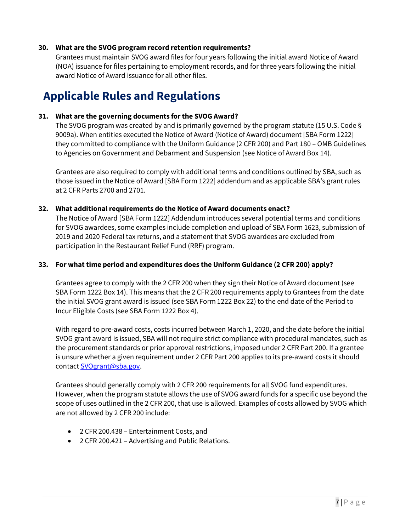#### **30. What are the SVOG program record retention requirements?**

Grantees must maintain SVOG award files for four years following the initial award Notice of Award (NOA) issuance for files pertaining to employment records, and for three years following the initial award Notice of Award issuance for all other files.

# <span id="page-6-0"></span>**Applicable Rules and Regulations**

#### **31. What are the governing documents for the SVOG Award?**

The SVOG program was created by and is primarily governed by the program statute (15 U.S. Code § 9009a). When entities executed the Notice of Award (Notice of Award) document [SBA Form 1222] they committed to compliance with the Uniform Guidance (2 CFR 200) and Part 180 – OMB Guidelines to Agencies on Government and Debarment and Suspension (see Notice of Award Box 14).

Grantees are also required to comply with additional terms and conditions outlined by SBA, such as those issued in the Notice of Award [SBA Form 1222] addendum and as applicable SBA's grant rules at 2 CFR Parts 2700 and 2701.

#### **32. What additional requirements do the Notice of Award documents enact?**

The Notice of Award [SBA Form 1222] Addendum introduces several potential terms and conditions for SVOG awardees, some examples include completion and upload of SBA Form 1623, submission of 2019 and 2020 Federal tax returns, and a statement that SVOG awardees are excluded from participation in the Restaurant Relief Fund (RRF) program.

#### **33. For what time period and expenditures does the Uniform Guidance (2 CFR 200) apply?**

Grantees agree to comply with the 2 CFR 200 when they sign their Notice of Award document (see SBA Form 1222 Box 14). This means that the 2 CFR 200 requirements apply to Grantees from the date the initial SVOG grant award is issued (see SBA Form 1222 Box 22) to the end date of the Period to Incur Eligible Costs (see SBA Form 1222 Box 4).

With regard to pre-award costs, costs incurred between March 1, 2020, and the date before the initial SVOG grant award is issued, SBA will not require strict compliance with procedural mandates, such as the procurement standards or prior approval restrictions, imposed under 2 CFR Part 200. If a grantee is unsure whether a given requirement under 2 CFR Part 200 applies to its pre-award costs it should contact [SVOgrant@sba.gov.](mailto:SVOgrant@sba.gov)

Grantees should generally comply with 2 CFR 200 requirements for all SVOG fund expenditures. However, when the program statute allows the use of SVOG award funds for a specific use beyond the scope of uses outlined in the 2 CFR 200, that use is allowed. Examples of costs allowed by SVOG which are not allowed by 2 CFR 200 include:

- 2 CFR 200.438 Entertainment Costs, and
- <span id="page-6-1"></span>• 2 CFR 200.421 – Advertising and Public Relations.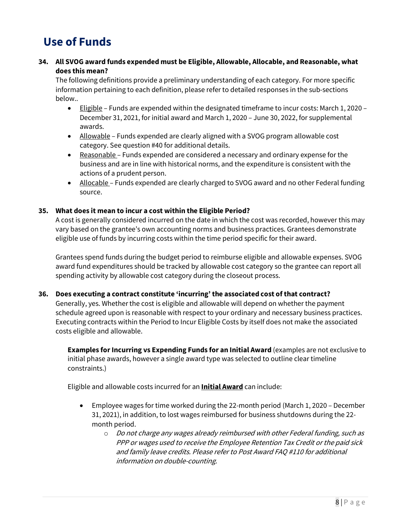# **Use of Funds**

#### **34. All SVOG award funds expended must be Eligible, Allowable, Allocable, and Reasonable, what does this mean?**

The following definitions provide a preliminary understanding of each category. For more specific information pertaining to each definition, please refer to detailed responses in the sub-sections below..

- Eligible Funds are expended within the designated timeframe to incur costs: March 1, 2020 December 31, 2021, for initial award and March 1, 2020 – June 30, 2022, for supplemental awards.
- Allowable Funds expended are clearly aligned with a SVOG program allowable cost category. See question #40 for additional details.
- Reasonable Funds expended are considered a necessary and ordinary expense for the business and are in line with historical norms, and the expenditure is consistent with the actions of a prudent person.
- Allocable Funds expended are clearly charged to SVOG award and no other Federal funding source.

#### **35. What does it mean to incur a cost within the Eligible Period?**

A cost is generally considered incurred on the date in which the cost was recorded, however this may vary based on the grantee's own accounting norms and business practices. Grantees demonstrate eligible use of funds by incurring costs within the time period specific for their award.

Grantees spend funds during the budget period to reimburse eligible and allowable expenses. SVOG award fund expenditures should be tracked by allowable cost category so the grantee can report all spending activity by allowable cost category during the closeout process.

#### **36. Does executing a contract constitute 'incurring' the associated cost of that contract?**

Generally, yes. Whether the cost is eligible and allowable will depend on whether the payment schedule agreed upon is reasonable with respect to your ordinary and necessary business practices. Executing contracts within the Period to Incur Eligible Costs by itself does not make the associated costs eligible and allowable.

**Examples for Incurring vs Expending Funds for an Initial Award** (examples are not exclusive to initial phase awards, however a single award type was selected to outline clear timeline constraints.)

Eligible and allowable costs incurred for an **Initial Award** can include:

- Employee wages for time worked during the 22-month period (March 1, 2020 December 31, 2021), in addition, to lost wages reimbursed for business shutdowns during the 22 month period.
	- $\circ$  Do not charge any wages already reimbursed with other Federal funding, such as PPP or wages used to receive the Employee Retention Tax Credit or the paid sick and family leave credits. Please refer to Post Award FAQ #110 for additional information on double-counting.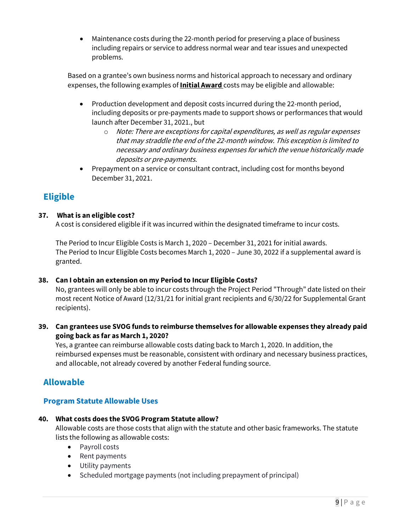• Maintenance costs during the 22-month period for preserving a place of business including repairs or service to address normal wear and tear issues and unexpected problems.

Based on a grantee's own business norms and historical approach to necessary and ordinary expenses, the following examples of **Initial Award** costs may be eligible and allowable:

- Production development and deposit costs incurred during the 22-month period, including deposits or pre-payments made to support shows or performances that would launch after December 31, 2021., but
	- o Note: There are exceptions for capital expenditures, as well as regular expenses that may straddle the end of the 22-month window. This exception is limited to necessary and ordinary business expenses for which the venue historically made deposits or pre-payments.
- <span id="page-8-0"></span>• Prepayment on a service or consultant contract, including cost for months beyond December 31, 2021.

## **Eligible**

### **37. What is an eligible cost?**

A cost is considered eligible if it was incurred within the designated timeframe to incur costs.

The Period to Incur Eligible Costs is March 1, 2020 – December 31, 2021 for initial awards. The Period to Incur Eligible Costs becomes March 1, 2020 – June 30, 2022 if a supplemental award is granted.

#### **38. Can I obtain an extension on my Period to Incur Eligible Costs?**

No, grantees will only be able to incur costs through the Project Period "Through" date listed on their most recent Notice of Award (12/31/21 for initial grant recipients and 6/30/22 for Supplemental Grant recipients).

**39. Can grantees use SVOG funds to reimburse themselves for allowable expenses they already paid going back as far as March 1, 2020?** 

Yes, a grantee can reimburse allowable costs dating back to March 1, 2020. In addition, the reimbursed expenses must be reasonable, consistent with ordinary and necessary business practices, and allocable, not already covered by another Federal funding source.

## <span id="page-8-1"></span>**Allowable**

### **Program Statute Allowable Uses**

### **40. What costs does the SVOG Program Statute allow?**

Allowable costs are those costs that align with the statute and other basic frameworks. The statute lists the following as allowable costs:

- Payroll costs
- Rent payments
- Utility payments
- Scheduled mortgage payments (not including prepayment of principal)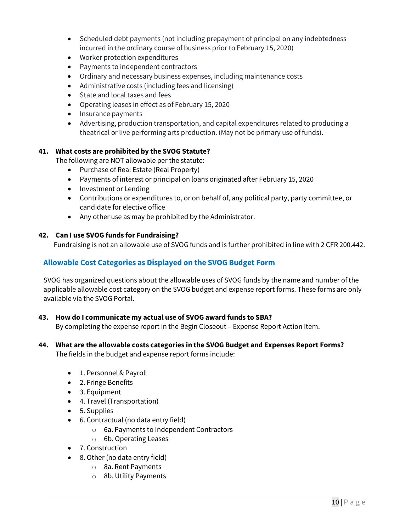- Scheduled debt payments (not including prepayment of principal on any indebtedness incurred in the ordinary course of business prior to February 15, 2020)
- Worker protection expenditures
- Payments to independent contractors
- Ordinary and necessary business expenses, including maintenance costs
- Administrative costs (including fees and licensing)
- State and local taxes and fees
- Operating leases in effect as of February 15, 2020
- Insurance payments
- Advertising, production transportation, and capital expenditures related to producing a theatrical or live performing arts production. (May not be primary use of funds).

#### **41. What costs are prohibited by the SVOG Statute?**

The following are NOT allowable per the statute:

- Purchase of Real Estate (Real Property)
- Payments of interest or principal on loans originated after February 15, 2020
- Investment or Lending
- Contributions or expenditures to, or on behalf of, any political party, party committee, or candidate for elective office
- Any other use as may be prohibited by the Administrator.

#### **42. Can I use SVOG funds for Fundraising?**

Fundraising is not an allowable use of SVOG funds and is further prohibited in line with 2 CFR 200.442.

#### **Allowable Cost Categories as Displayed on the SVOG Budget Form**

SVOG has organized questions about the allowable uses of SVOG funds by the name and number of the applicable allowable cost category on the SVOG budget and expense report forms. These forms are only available via the SVOG Portal.

#### **43. How do I communicate my actual use of SVOG award funds to SBA?**

By completing the expense report in the Begin Closeout – Expense Report Action Item.

### **44. What are the allowable costs categories in the SVOG Budget and Expenses Report Forms?**

The fields in the budget and expense report forms include:

- 1. Personnel & Payroll
- 2. Fringe Benefits
- 3. Equipment
- 4. Travel (Transportation)
- 5. Supplies
- 6. Contractual (no data entry field)
	- o 6a. Payments to Independent Contractors
	- o 6b. Operating Leases
- 7. Construction
- 8. Other (no data entry field)
	- o 8a. Rent Payments
	- o 8b. Utility Payments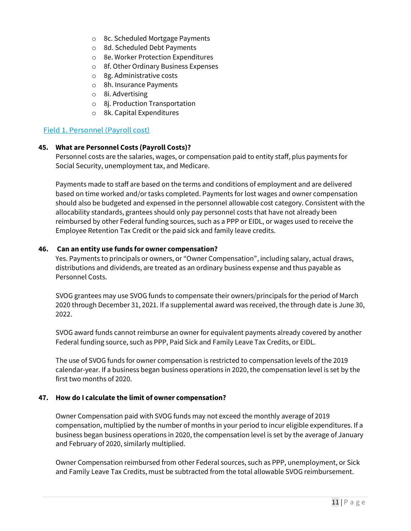- o 8c. Scheduled Mortgage Payments
- o 8d. Scheduled Debt Payments
- o 8e. Worker Protection Expenditures
- o 8f. Other Ordinary Business Expenses
- o 8g. Administrative costs
- o 8h. Insurance Payments
- o 8i. Advertising
- o 8j. Production Transportation
- o 8k. Capital Expenditures

#### Field 1. Personnel (Payroll cost)

#### **45. What are Personnel Costs (Payroll Costs)?**

Personnel costs are the salaries, wages, or compensation paid to entity staff, plus payments for Social Security, unemployment tax, and Medicare.

Payments made to staff are based on the terms and conditions of employment and are delivered based on time worked and/or tasks completed. Payments for lost wages and owner compensation should also be budgeted and expensed in the personnel allowable cost category. Consistent with the allocability standards, grantees should only pay personnel costs that have not already been reimbursed by other Federal funding sources, such as a PPP or EIDL, or wages used to receive the Employee Retention Tax Credit or the paid sick and family leave credits.

#### **46. Can an entity use funds for owner compensation?**

Yes. Payments to principals or owners, or "Owner Compensation", including salary, actual draws, distributions and dividends, are treated as an ordinary business expense and thus payable as Personnel Costs.

SVOG grantees may use SVOG funds to compensate their owners/principals for the period of March 2020 through December 31, 2021. If a supplemental award was received, the through date is June 30, 2022.

SVOG award funds cannot reimburse an owner for equivalent payments already covered by another Federal funding source, such as PPP, Paid Sick and Family Leave Tax Credits, or EIDL.

The use of SVOG funds for owner compensation is restricted to compensation levels of the 2019 calendar-year. If a business began business operations in 2020, the compensation level is set by the first two months of 2020.

#### **47. How do I calculate the limit of owner compensation?**

Owner Compensation paid with SVOG funds may not exceed the monthly average of 2019 compensation, multiplied by the number of months in your period to incur eligible expenditures. If a business began business operations in 2020, the compensation level is set by the average of January and February of 2020, similarly multiplied.

Owner Compensation reimbursed from other Federal sources, such as PPP, unemployment, or Sick and Family Leave Tax Credits, must be subtracted from the total allowable SVOG reimbursement.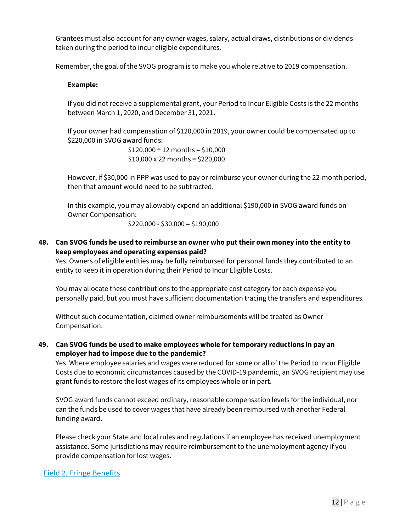Grantees must also account for any owner wages, salary, actual draws, distributions or dividends taken during the period to incur eligible expenditures.

Remember, the goal of the SVOG program is to make you whole relative to 2019 compensation.

#### **Example:**

If you did not receive a supplemental grant, your Period to Incur Eligible Costs is the 22 months between March 1, 2020, and December 31, 2021.

If your owner had compensation of \$120,000 in 2019, your owner could be compensated up to \$220,000 in SVOG award funds:

> $$120,000 \div 12$  months = \$10,000 \$10,000 x 22 months = \$220,000

However, if \$30,000 in PPP was used to pay or reimburse your owner during the 22-month period, then that amount would need to be subtracted.

In this example, you may allowably expend an additional \$190,000 in SVOG award funds on Owner Compensation:

 $$220,000 - $30,000 = $190,000$ 

**48. Can SVOG funds be used to reimburse an owner who put their own money into the entity to keep employees and operating expenses paid?** 

Yes. Owners of eligible entities may be fully reimbursed for personal funds they contributed to an entity to keep it in operation during their Period to Incur Eligible Costs.

You may allocate these contributions to the appropriate cost category for each expense you personally paid, but you must have sufficient documentation tracing the transfers and expenditures.

Without such documentation, claimed owner reimbursements will be treated as Owner Compensation.

#### **49. Can SVOG funds be used to make employees whole for temporary reductions in pay an employer had to impose due to the pandemic?**

Yes. Where employee salaries and wages were reduced for some or all of the Period to Incur Eligible Costs due to economic circumstances caused by the COVID-19 pandemic, an SVOG recipient may use grant funds to restore the lost wages of its employees whole or in part.

SVOG award funds cannot exceed ordinary, reasonable compensation levels for the individual, nor can the funds be used to cover wages that have already been reimbursed with another Federal funding award.

Please check your State and local rules and regulations if an employee has received unemployment assistance. Some jurisdictions may require reimbursement to the unemployment agency if you provide compensation for lost wages.

#### Field 2. Fringe Benefits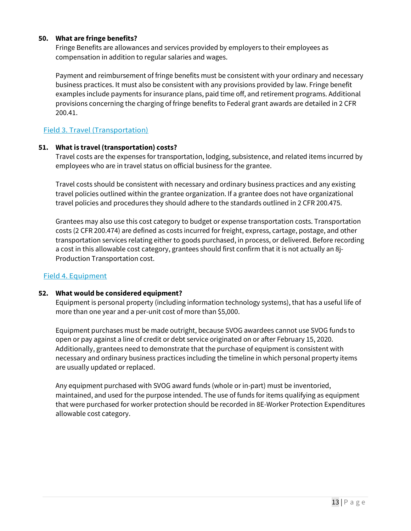#### **50. What are fringe benefits?**

Fringe Benefits are allowances and services provided by employers to their employees as compensation in addition to regular salaries and wages.

Payment and reimbursement of fringe benefits must be consistent with your ordinary and necessary business practices. It must also be consistent with any provisions provided by law. Fringe benefit examples include payments for insurance plans, paid time off, and retirement programs. Additional provisions concerning the charging of fringe benefits to Federal grant awards are detailed in 2 CFR 200.41.

#### Field 3. Travel (Transportation)

#### **51. What is travel (transportation) costs?**

Travel costs are the expenses for transportation, lodging, subsistence, and related items incurred by employees who are in travel status on official business for the grantee.

Travel costs should be consistent with necessary and ordinary business practices and any existing travel policies outlined within the grantee organization. If a grantee does not have organizational travel policies and procedures they should adhere to the standards outlined in 2 CFR 200.475.

Grantees may also use this cost category to budget or expense transportation costs. Transportation costs (2 CFR 200.474) are defined as costs incurred for freight, express, cartage, postage, and other transportation services relating either to goods purchased, in process, or delivered. Before recording a cost in this allowable cost category, grantees should first confirm that it is not actually an 8j-Production Transportation cost.

#### Field 4. Equipment

#### **52. What would be considered equipment?**

Equipment is personal property (including information technology systems), that has a useful life of more than one year and a per-unit cost of more than \$5,000.

Equipment purchases must be made outright, because SVOG awardees cannot use SVOG funds to open or pay against a line of credit or debt service originated on or after February 15, 2020. Additionally, grantees need to demonstrate that the purchase of equipment is consistent with necessary and ordinary business practices including the timeline in which personal property items are usually updated or replaced.

Any equipment purchased with SVOG award funds (whole or in-part) must be inventoried, maintained, and used for the purpose intended. The use of funds for items qualifying as equipment that were purchased for worker protection should be recorded in 8E-Worker Protection Expenditures allowable cost category.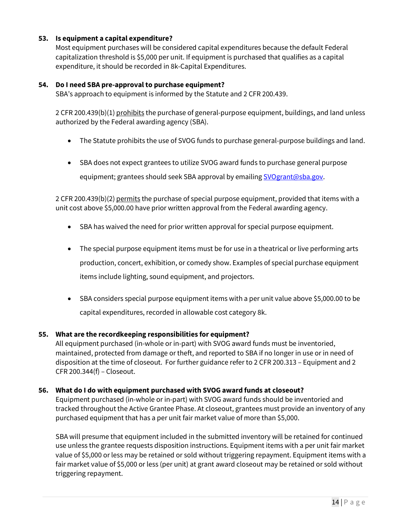#### **53. Is equipment a capital expenditure?**

Most equipment purchases will be considered capital expenditures because the default Federal capitalization threshold is \$5,000 per unit. If equipment is purchased that qualifies as a capital expenditure, it should be recorded in 8k-Capital Expenditures.

#### **54. Do I need SBA pre-approval to purchase equipment?**

SBA's approach to equipment is informed by the Statute and 2 CFR 200.439.

2 CFR 200.439(b)(1) prohibits the purchase of general-purpose equipment, buildings, and land unless authorized by the Federal awarding agency (SBA).

- The Statute prohibits the use of SVOG funds to purchase general-purpose buildings and land.
- SBA does not expect grantees to utilize SVOG award funds to purchase general purpose equipment; grantees should seek SBA approval by emailing SVOgrant@sba.gov.

2 CFR 200.439(b)(2) permits the purchase of special purpose equipment, provided that items with a unit cost above \$5,000.00 have prior written approval from the Federal awarding agency.

- SBA has waived the need for prior written approval for special purpose equipment.
- The special purpose equipment items must be for use in a theatrical or live performing arts production, concert, exhibition, or comedy show. Examples of special purchase equipment items include lighting, sound equipment, and projectors.
- SBA considers special purpose equipment items with a per unit value above \$5,000.00 to be capital expenditures, recorded in allowable cost category 8k.

#### **55. What are the recordkeeping responsibilities for equipment?**

All equipment purchased (in-whole or in-part) with SVOG award funds must be inventoried, maintained, protected from damage or theft, and reported to SBA if no longer in use or in need of disposition at the time of closeout. For further guidance refer to 2 CFR 200.313 – Equipment and 2 CFR 200.344(f) – Closeout.

#### **56. What do I do with equipment purchased with SVOG award funds at closeout?**

Equipment purchased (in-whole or in-part) with SVOG award funds should be inventoried and tracked throughout the Active Grantee Phase. At closeout, grantees must provide an inventory of any purchased equipment that has a per unit fair market value of more than \$5,000.

SBA will presume that equipment included in the submitted inventory will be retained for continued use unless the grantee requests disposition instructions. Equipment items with a per unit fair market value of \$5,000 or less may be retained or sold without triggering repayment. Equipment items with a fair market value of \$5,000 or less (per unit) at grant award closeout may be retained or sold without triggering repayment.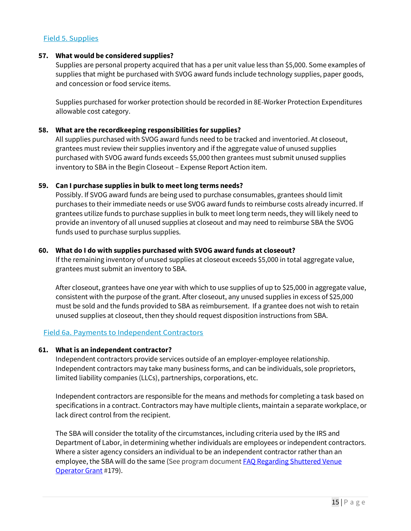#### Field 5. Supplies

#### **57. What would be considered supplies?**

Supplies are personal property acquired that has a per unit value less than \$5,000. Some examples of supplies that might be purchased with SVOG award funds include technology supplies, paper goods, and concession or food service items.

Supplies purchased for worker protection should be recorded in 8E-Worker Protection Expenditures allowable cost category.

#### **58. What are the recordkeeping responsibilities for supplies?**

All supplies purchased with SVOG award funds need to be tracked and inventoried. At closeout, grantees must review their supplies inventory and if the aggregate value of unused supplies purchased with SVOG award funds exceeds \$5,000 then grantees must submit unused supplies inventory to SBA in the Begin Closeout – Expense Report Action item.

#### **59. Can I purchase supplies in bulk to meet long terms needs?**

Possibly. If SVOG award funds are being used to purchase consumables, grantees should limit purchases to their immediate needs or use SVOG award funds to reimburse costs already incurred. If grantees utilize funds to purchase supplies in bulk to meet long term needs, they will likely need to provide an inventory of all unused supplies at closeout and may need to reimburse SBA the SVOG funds used to purchase surplus supplies.

#### **60. What do I do with supplies purchased with SVOG award funds at closeout?**

If the remaining inventory of unused supplies at closeout exceeds \$5,000 in total aggregate value, grantees must submit an inventory to SBA.

After closeout, grantees have one year with which to use supplies of up to \$25,000 in aggregate value, consistent with the purpose of the grant. After closeout, any unused supplies in excess of \$25,000 must be sold and the funds provided to SBA as reimbursement. If a grantee does not wish to retain unused supplies at closeout, then they should request disposition instructions from SBA.

#### Field 6a. Payments to Independent Contractors

#### **61. What is an independent contractor?**

Independent contractors provide services outside of an employer-employee relationship. Independent contractors may take many business forms, and can be individuals, sole proprietors, limited liability companies (LLCs), partnerships, corporations, etc.

Independent contractors are responsible for the means and methods for completing a task based on specifications in a contract. Contractors may have multiple clients, maintain a separate workplace, or lack direct control from the recipient.

The SBA will consider the totality of the circumstances, including criteria used by the IRS and Department of Labor, in determining whether individuals are employees or independent contractors. Where a sister agency considers an individual to be an independent contractor rather than an employee, the SBA will do the same (See program document FAQ Regarding Shuttered Venue [Operator Grant](https://www.sba.gov/document/support-faq-regarding-shuttered-venue-operators-grant-svog) #179).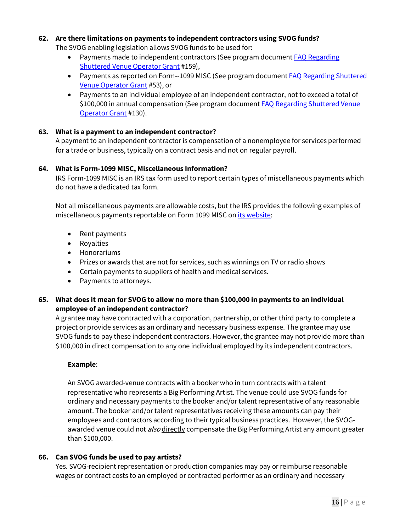#### **62. Are there limitations on payments to independent contractors using SVOG funds?**

The SVOG enabling legislation allows SVOG funds to be used for:

- Payments made to independent contractors (See program document FAQ Regarding [Shuttered Venue Operator Grant](https://www.sba.gov/document/support-faq-regarding-shuttered-venue-operators-grant-svog) #159),
- Payments as reported on Form--1099 MISC (See program document **FAQ Regarding Shuttered** [Venue Operator Grant](https://www.sba.gov/document/support-faq-regarding-shuttered-venue-operators-grant-svog) #53), or
- Payments to an individual employee of an independent contractor, not to exceed a total of \$100,000 in annual compensation (See program document FAQ Regarding Shuttered Venue [Operator Grant](https://www.sba.gov/document/support-faq-regarding-shuttered-venue-operators-grant-svog) #130).

#### **63. What is a payment to an independent contractor?**

A payment to an independent contractor is compensation of a nonemployee for services performed for a trade or business, typically on a contract basis and not on regular payroll.

#### **64. What is Form-1099 MISC, Miscellaneous Information?**

IRS Form-1099 MISC is an IRS tax form used to report certain types of miscellaneous payments which do not have a dedicated tax form.

Not all miscellaneous payments are allowable costs, but the IRS provides the following examples of miscellaneous payments reportable on Form 1099 MISC o[n its website:](https://www.irs.gov/instructions/i1099gi)

- Rent payments
- Royalties
- Honorariums
- Prizes or awards that are not for services, such as winnings on TV or radio shows
- Certain payments to suppliers of health and medical services.
- Payments to attorneys.

#### **65. What does it mean for SVOG to allow no more than \$100,000 in payments to an individual employee of an independent contractor?**

A grantee may have contracted with a corporation, partnership, or other third party to complete a project or provide services as an ordinary and necessary business expense. The grantee may use SVOG funds to pay these independent contractors. However, the grantee may not provide more than \$100,000 in direct compensation to any one individual employed by its independent contractors.

#### **Example**:

An SVOG awarded-venue contracts with a booker who in turn contracts with a talent representative who represents a Big Performing Artist. The venue could use SVOG funds for ordinary and necessary payments to the booker and/or talent representative of any reasonable amount. The booker and/or talent representatives receiving these amounts can pay their employees and contractors according to their typical business practices. However, the SVOGawarded venue could not *also* directly compensate the Big Performing Artist any amount greater than \$100,000.

#### **66. Can SVOG funds be used to pay artists?**

Yes. SVOG-recipient representation or production companies may pay or reimburse reasonable wages or contract costs to an employed or contracted performer as an ordinary and necessary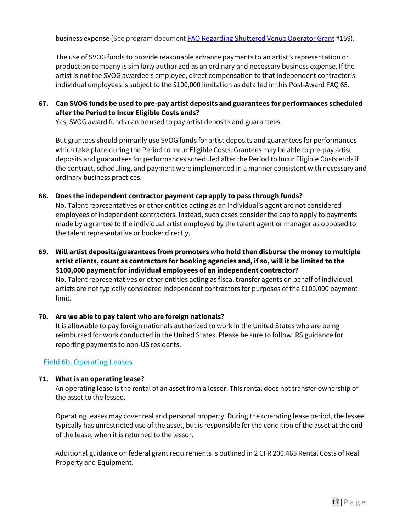business expense (See program documen[t FAQ Regarding Shuttered Venue Operator Grant #](https://www.sba.gov/document/support-faq-regarding-shuttered-venue-operators-grant-svog)159).

The use of SVOG funds to provide reasonable advance payments to an artist's representation or production company is similarly authorized as an ordinary and necessary business expense. If the artist is not the SVOG awardee's employee, direct compensation to that independent contractor's individual employees is subject to the \$100,000 limitation as detailed in this Post-Award FAQ 65.

#### **67. Can SVOG funds be used to pre-pay artist deposits and guarantees for performances scheduled after the Period to Incur Eligible Costs ends?**

Yes, SVOG award funds can be used to pay artist deposits and guarantees.

But grantees should primarily use SVOG funds for artist deposits and guarantees for performances which take place during the Period to Incur Eligible Costs. Grantees may be able to pre-pay artist deposits and guarantees for performances scheduled after the Period to Incur Eligible Costs ends if the contract, scheduling, and payment were implemented in a manner consistent with necessary and ordinary business practices.

#### **68. Does the independent contractor payment cap apply to pass through funds?**

No. Talent representatives or other entities acting as an individual's agent are not considered employees of independent contractors. Instead, such cases consider the cap to apply to payments made by a grantee to the individual artist employed by the talent agent or manager as opposed to the talent representative or booker directly.

**69. Will artist deposits/guarantees from promoters who hold then disburse the money to multiple artist clients, count as contractors for booking agencies and, if so, will it be limited to the \$100,000 payment for individual employees of an independent contractor?** No. Talent representatives or other entities acting as fiscal transfer agents on behalf of individual artists are not typically considered independent contractors for purposes of the \$100,000 payment

# **70. Are we able to pay talent who are foreign nationals?**

It is allowable to pay foreign nationals authorized to work in the United States who are being reimbursed for work conducted in the United States. Please be sure to follow IRS guidance for reporting payments to non-US residents.

#### Field 6b. Operating Leases

limit.

#### **71. What is an operating lease?**

An operating lease is the rental of an asset from a lessor. This rental does not transfer ownership of the asset to the lessee.

Operating leases may cover real and personal property. During the operating lease period, the lessee typically has unrestricted use of the asset, but is responsible for the condition of the asset at the end of the lease, when it is returned to the lessor.

Additional guidance on federal grant requirements is outlined in 2 CFR 200.465 Rental Costs of Real Property and Equipment.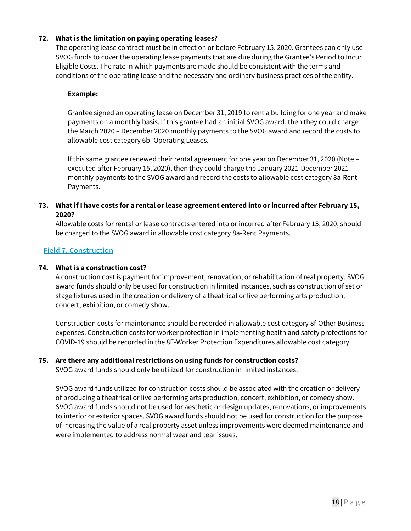#### **72. What is the limitation on paying operating leases?**

The operating lease contract must be in effect on or before February 15, 2020. Grantees can only use SVOG funds to cover the operating lease payments that are due during the Grantee's Period to Incur Eligible Costs. The rate in which payments are made should be consistent with the terms and conditions of the operating lease and the necessary and ordinary business practices of the entity.

#### **Example:**

Grantee signed an operating lease on December 31, 2019 to rent a building for one year and make payments on a monthly basis. If this grantee had an initial SVOG award, then they could charge the March 2020 – December 2020 monthly payments to the SVOG award and record the costs to allowable cost category 6b–Operating Leases.

If this same grantee renewed their rental agreement for one year on December 31, 2020 (Note – executed after February 15, 2020), then they could charge the January 2021-December 2021 monthly payments to the SVOG award and record the costs to allowable cost category 8a-Rent Payments.

#### **73. What if I have costs for a rental or lease agreement entered into or incurred after February 15, 2020?**

Allowable costs for rental or lease contracts entered into or incurred after February 15, 2020, should be charged to the SVOG award in allowable cost category 8a-Rent Payments.

#### Field 7. Construction

#### **74. What is a construction cost?**

A construction cost is payment for improvement, renovation, or rehabilitation of real property. SVOG award funds should only be used for construction in limited instances, such as construction of set or stage fixtures used in the creation or delivery of a theatrical or live performing arts production, concert, exhibition, or comedy show.

Construction costs for maintenance should be recorded in allowable cost category 8f-Other Business expenses. Construction costs for worker protection in implementing health and safety protections for COVID-19 should be recorded in the 8E-Worker Protection Expenditures allowable cost category.

#### **75. Are there any additional restrictions on using funds for construction costs?**

SVOG award funds should only be utilized for construction in limited instances.

SVOG award funds utilized for construction costs should be associated with the creation or delivery of producing a theatrical or live performing arts production, concert, exhibition, or comedy show. SVOG award funds should not be used for aesthetic or design updates, renovations, or improvements to interior or exterior spaces. SVOG award funds should not be used for construction for the purpose of increasing the value of a real property asset unless improvements were deemed maintenance and were implemented to address normal wear and tear issues.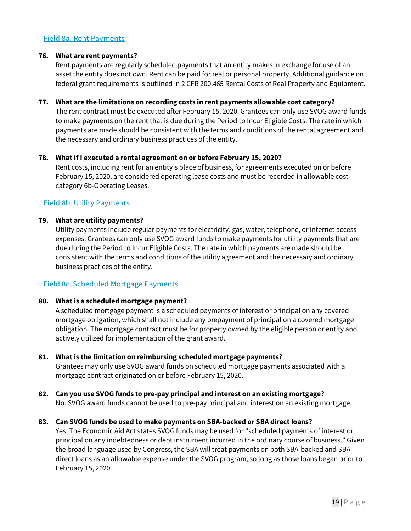#### Field 8a. Rent Payments

#### **76. What are rent payments?**

Rent payments are regularly scheduled payments that an entity makes in exchange for use of an asset the entity does not own. Rent can be paid for real or personal property. Additional guidance on federal grant requirements is outlined in 2 CFR 200.465 Rental Costs of Real Property and Equipment.

#### **77. What are the limitations on recording costs in rent payments allowable cost category?**

The rent contract must be executed after February 15, 2020. Grantees can only use SVOG award funds to make payments on the rent that is due during the Period to Incur Eligible Costs. The rate in which payments are made should be consistent with the terms and conditions of the rental agreement and the necessary and ordinary business practices of the entity.

#### **78. What if I executed a rental agreement on or before February 15, 2020?**

Rent costs, including rent for an entity's place of business, for agreements executed on or before February 15, 2020, are considered operating lease costs and must be recorded in allowable cost category 6b-Operating Leases.

#### Field 8b. Utility Payments

#### **79. What are utility payments?**

Utility payments include regular payments for electricity, gas, water, telephone, or internet access expenses. Grantees can only use SVOG award funds to make payments for utility payments that are due during the Period to Incur Eligible Costs. The rate in which payments are made should be consistent with the terms and conditions of the utility agreement and the necessary and ordinary business practices of the entity.

#### Field 8c. Scheduled Mortgage Payments

#### **80. What is a scheduled mortgage payment?**

A scheduled mortgage payment is a scheduled payments of interest or principal on any covered mortgage obligation, which shall not include any prepayment of principal on a covered mortgage obligation. The mortgage contract must be for property owned by the eligible person or entity and actively utilized for implementation of the grant award.

- **81. What is the limitation on reimbursing scheduled mortgage payments?** Grantees may only use SVOG award funds on scheduled mortgage payments associated with a mortgage contract originated on or before February 15, 2020.
- **82. Can you use SVOG funds to pre-pay principal and interest on an existing mortgage?**  No. SVOG award funds cannot be used to pre-pay principal and interest on an existing mortgage.

#### **83. Can SVOG funds be used to make payments on SBA-backed or SBA direct loans?**

Yes. The Economic Aid Act states SVOG funds may be used for "scheduled payments of interest or principal on any indebtedness or debt instrument incurred in the ordinary course of business." Given the broad language used by Congress, the SBA will treat payments on both SBA-backed and SBA direct loans as an allowable expense under the SVOG program, so long as those loans began prior to February 15, 2020.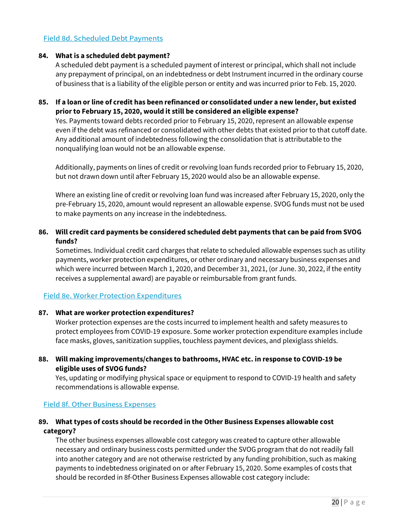#### Field 8d. Scheduled Debt Payments

#### **84. What is a scheduled debt payment?**

A scheduled debt payment is a scheduled payment of interest or principal, which shall not include any prepayment of principal, on an indebtedness or debt Instrument incurred in the ordinary course of business that is a liability of the eligible person or entity and was incurred prior to Feb. 15, 2020.

#### **85. If a loan or line of credit has been refinanced or consolidated under a new lender, but existed prior to February 15, 2020, would it still be considered an eligible expense?**

Yes. Payments toward debts recorded prior to February 15, 2020, represent an allowable expense even if the debt was refinanced or consolidated with other debts that existed prior to that cutoff date. Any additional amount of indebtedness following the consolidation that is attributable to the nonqualifying loan would not be an allowable expense.

Additionally, payments on lines of credit or revolving loan funds recorded prior to February 15, 2020, but not drawn down until after February 15, 2020 would also be an allowable expense.

Where an existing line of credit or revolving loan fund was increased after February 15, 2020, only the pre-February 15, 2020, amount would represent an allowable expense. SVOG funds must not be used to make payments on any increase in the indebtedness.

#### **86. Will credit card payments be considered scheduled debt payments that can be paid from SVOG funds?**

Sometimes. Individual credit card charges that relate to scheduled allowable expenses such as utility payments, worker protection expenditures, or other ordinary and necessary business expenses and which were incurred between March 1, 2020, and December 31, 2021, (or June. 30, 2022, if the entity receives a supplemental award) are payable or reimbursable from grant funds.

#### Field 8e. Worker Protection Expenditures

#### **87. What are worker protection expenditures?**

Worker protection expenses are the costs incurred to implement health and safety measures to protect employees from COVID-19 exposure. Some worker protection expenditure examples include face masks, gloves, sanitization supplies, touchless payment devices, and plexiglass shields.

#### **88. Will making improvements/changes to bathrooms, HVAC etc. in response to COVID-19 be eligible uses of SVOG funds?**

Yes, updating or modifying physical space or equipment to respond to COVID-19 health and safety recommendations is allowable expense.

#### Field 8f. Other Business Expenses

#### **89. What types of costs should be recorded in the Other Business Expenses allowable cost category?**

The other business expenses allowable cost category was created to capture other allowable necessary and ordinary business costs permitted under the SVOG program that do not readily fall into another category and are not otherwise restricted by any funding prohibition, such as making payments to indebtedness originated on or after February 15, 2020. Some examples of costs that should be recorded in 8f-Other Business Expenses allowable cost category include: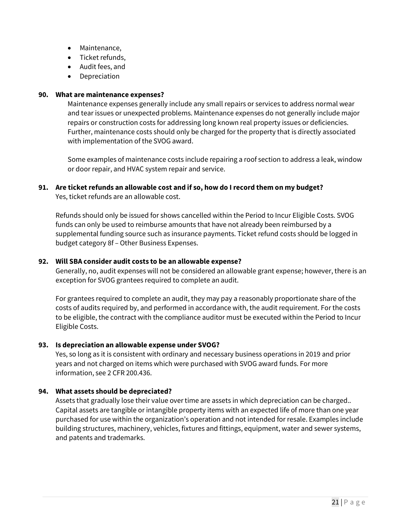- Maintenance,
- Ticket refunds,
- Audit fees, and
- **Depreciation**

#### **90. What are maintenance expenses?**

Maintenance expenses generally include any small repairs or services to address normal wear and tear issues or unexpected problems. Maintenance expenses do not generally include major repairs or construction costs for addressing long known real property issues or deficiencies. Further, maintenance costs should only be charged for the property that is directly associated with implementation of the SVOG award.

Some examples of maintenance costs include repairing a roof section to address a leak, window or door repair, and HVAC system repair and service.

#### **91. Are ticket refunds an allowable cost and if so, how do I record them on my budget?**

Yes, ticket refunds are an allowable cost.

Refunds should only be issued for shows cancelled within the Period to Incur Eligible Costs. SVOG funds can only be used to reimburse amounts that have not already been reimbursed by a supplemental funding source such as insurance payments. Ticket refund costs should be logged in budget category 8f – Other Business Expenses.

#### **92. Will SBA consider audit costs to be an allowable expense?**

Generally, no, audit expenses will not be considered an allowable grant expense; however, there is an exception for SVOG grantees required to complete an audit.

For grantees required to complete an audit, they may pay a reasonably proportionate share of the costs of audits required by, and performed in accordance with, the audit requirement. For the costs to be eligible, the contract with the compliance auditor must be executed within the Period to Incur Eligible Costs.

#### **93. Is depreciation an allowable expense under SVOG?**

Yes, so long as it is consistent with ordinary and necessary business operations in 2019 and prior years and not charged on items which were purchased with SVOG award funds. For more information, see 2 CFR 200.436.

#### **94. What assets should be depreciated?**

Assets that gradually lose their value over time are assets in which depreciation can be charged.. Capital assets are tangible or intangible property items with an expected life of more than one year purchased for use within the organization's operation and not intended for resale. Examples include building structures, machinery, vehicles, fixtures and fittings, equipment, water and sewer systems, and patents and trademarks.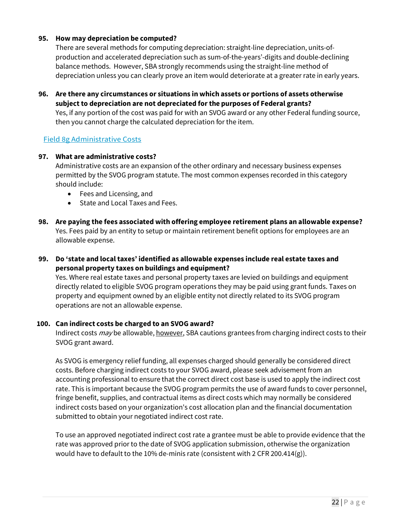#### **95. How may depreciation be computed?**

There are several methods for computing depreciation: straight-line depreciation, units-ofproduction and accelerated depreciation such as sum-of-the-years'-digits and double-declining balance methods. However, SBA strongly recommends using the straight-line method of depreciation unless you can clearly prove an item would deteriorate at a greater rate in early years.

**96. Are there any circumstances or situations in which assets or portions of assets otherwise subject to depreciation are not depreciated for the purposes of Federal grants?** Yes, if any portion of the cost was paid for with an SVOG award or any other Federal funding source, then you cannot charge the calculated depreciation for the item.

#### Field 8g Administrative Costs

#### **97. What are administrative costs?**

Administrative costs are an expansion of the other ordinary and necessary business expenses permitted by the SVOG program statute. The most common expenses recorded in this category should include:

- Fees and Licensing, and
- State and Local Taxes and Fees.
- **98. Are paying the fees associated with offering employee retirement plans an allowable expense?**  Yes. Fees paid by an entity to setup or maintain retirement benefit options for employees are an allowable expense.
- **99. Do 'state and local taxes' identified as allowable expenses include real estate taxes and personal property taxes on buildings and equipment?**

Yes. Where real estate taxes and personal property taxes are levied on buildings and equipment directly related to eligible SVOG program operations they may be paid using grant funds. Taxes on property and equipment owned by an eligible entity not directly related to its SVOG program operations are not an allowable expense.

#### **100. Can indirect costs be charged to an SVOG award?**

Indirect costs *may* be allowable, however, SBA cautions grantees from charging indirect costs to their SVOG grant award.

As SVOG is emergency relief funding, all expenses charged should generally be considered direct costs. Before charging indirect costs to your SVOG award, please seek advisement from an accounting professional to ensure that the correct direct cost base is used to apply the indirect cost rate. This is important because the SVOG program permits the use of award funds to cover personnel, fringe benefit, supplies, and contractual items as direct costs which may normally be considered indirect costs based on your organization's cost allocation plan and the financial documentation submitted to obtain your negotiated indirect cost rate.

To use an approved negotiated indirect cost rate a grantee must be able to provide evidence that the rate was approved prior to the date of SVOG application submission, otherwise the organization would have to default to the 10% de-minis rate (consistent with 2 CFR 200.414(g)).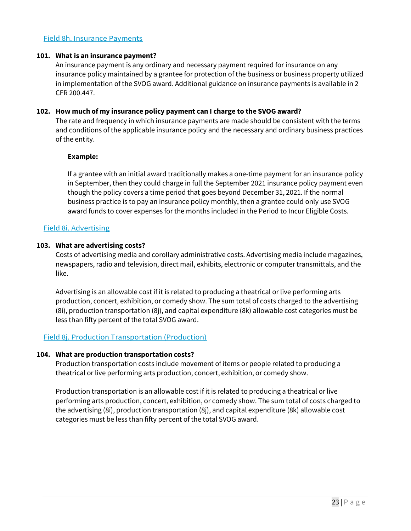#### Field 8h. Insurance Payments

#### **101. What is an insurance payment?**

An insurance payment is any ordinary and necessary payment required for insurance on any insurance policy maintained by a grantee for protection of the business or business property utilized in implementation of the SVOG award. Additional guidance on insurance payments is available in 2 CFR 200.447.

#### **102. How much of my insurance policy payment can I charge to the SVOG award?**

The rate and frequency in which insurance payments are made should be consistent with the terms and conditions of the applicable insurance policy and the necessary and ordinary business practices of the entity.

#### **Example:**

If a grantee with an initial award traditionally makes a one-time payment for an insurance policy in September, then they could charge in full the September 2021 insurance policy payment even though the policy covers a time period that goes beyond December 31, 2021. If the normal business practice is to pay an insurance policy monthly, then a grantee could only use SVOG award funds to cover expenses for the months included in the Period to Incur Eligible Costs.

#### Field 8i. Advertising

#### **103. What are advertising costs?**

Costs of advertising media and corollary administrative costs. Advertising media include magazines, newspapers, radio and television, direct mail, exhibits, electronic or computer transmittals, and the like.

Advertising is an allowable cost if it is related to producing a theatrical or live performing arts production, concert, exhibition, or comedy show. The sum total of costs charged to the advertising (8i), production transportation (8j), and capital expenditure (8k) allowable cost categories must be less than fifty percent of the total SVOG award.

#### Field 8j. Production Transportation (Production)

#### **104. What are production transportation costs?**

Production transportation costs include movement of items or people related to producing a theatrical or live performing arts production, concert, exhibition, or comedy show.

Production transportation is an allowable cost if it is related to producing a theatrical or live performing arts production, concert, exhibition, or comedy show. The sum total of costs charged to the advertising (8i), production transportation (8j), and capital expenditure (8k) allowable cost categories must be less than fifty percent of the total SVOG award.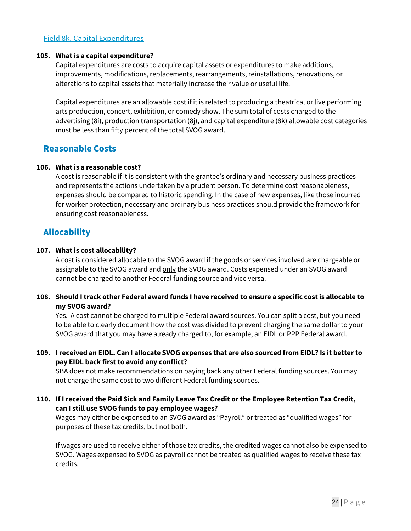#### Field 8k. Capital Expenditures

#### **105. What is a capital expenditure?**

Capital expenditures are costs to acquire capital assets or expenditures to make additions, improvements, modifications, replacements, rearrangements, reinstallations, renovations, or alterations to capital assets that materially increase their value or useful life.

Capital expenditures are an allowable cost if it is related to producing a theatrical or live performing arts production, concert, exhibition, or comedy show. The sum total of costs charged to the advertising (8i), production transportation (8j), and capital expenditure (8k) allowable cost categories must be less than fifty percent of the total SVOG award.

### <span id="page-23-0"></span>**Reasonable Costs**

#### **106. What is a reasonable cost?**

A cost is reasonable if it is consistent with the grantee's ordinary and necessary business practices and represents the actions undertaken by a prudent person. To determine cost reasonableness, expenses should be compared to historic spending. In the case of new expenses, like those incurred for worker protection, necessary and ordinary business practices should provide the framework for ensuring cost reasonableness.

## <span id="page-23-1"></span>**Allocability**

#### **107. What is cost allocability?**

A cost is considered allocable to the SVOG award if the goods or services involved are chargeable or assignable to the SVOG award and only the SVOG award. Costs expensed under an SVOG award cannot be charged to another Federal funding source and vice versa.

#### **108. Should I track other Federal award funds I have received to ensure a specific cost is allocable to my SVOG award?**

Yes. A cost cannot be charged to multiple Federal award sources. You can split a cost, but you need to be able to clearly document how the cost was divided to prevent charging the same dollar to your SVOG award that you may have already charged to, for example, an EIDL or PPP Federal award.

#### **109. I received an EIDL. Can I allocate SVOG expenses that are also sourced from EIDL? Is it better to pay EIDL back first to avoid any conflict?**

SBA does not make recommendations on paying back any other Federal funding sources. You may not charge the same cost to two different Federal funding sources.

**110. If I received the Paid Sick and Family Leave Tax Credit or the Employee Retention Tax Credit, can I still use SVOG funds to pay employee wages?**

Wages may either be expensed to an SVOG award as "Payroll" or treated as "qualified wages" for purposes of these tax credits, but not both.

If wages are used to receive either of those tax credits, the credited wages cannot also be expensed to SVOG. Wages expensed to SVOG as payroll cannot be treated as qualified wages to receive these tax credits.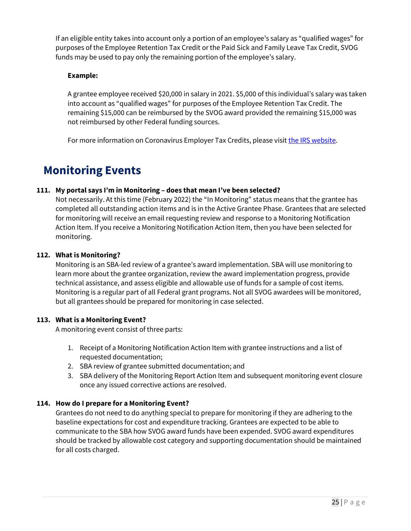If an eligible entity takes into account only a portion of an employee's salary as "qualified wages" for purposes of the Employee Retention Tax Credit or the Paid Sick and Family Leave Tax Credit, SVOG funds may be used to pay only the remaining portion of the employee's salary.

#### **Example:**

A grantee employee received \$20,000 in salary in 2021. \$5,000 of this individual's salary was taken into account as "qualified wages" for purposes of the Employee Retention Tax Credit. The remaining \$15,000 can be reimbursed by the SVOG award provided the remaining \$15,000 was not reimbursed by other Federal funding sources.

For more information on Coronavirus Employer Tax Credits, please visit [the IRS website.](https://www.irs.gov/coronavirus/employer-tax-credits)

# <span id="page-24-0"></span>**Monitoring Events**

#### **111. My portal says I'm in Monitoring – does that mean I've been selected?**

Not necessarily. At this time (February 2022) the "In Monitoring" status means that the grantee has completed all outstanding action items and is in the Active Grantee Phase. Grantees that are selected for monitoring will receive an email requesting review and response to a Monitoring Notification Action Item. If you receive a Monitoring Notification Action Item, then you have been selected for monitoring.

#### **112. What is Monitoring?**

Monitoring is an SBA-led review of a grantee's award implementation. SBA will use monitoring to learn more about the grantee organization, review the award implementation progress, provide technical assistance, and assess eligible and allowable use of funds for a sample of cost items. Monitoring is a regular part of all Federal grant programs. Not all SVOG awardees will be monitored, but all grantees should be prepared for monitoring in case selected.

#### **113. What is a Monitoring Event?**

A monitoring event consist of three parts:

- 1. Receipt of a Monitoring Notification Action Item with grantee instructions and a list of requested documentation;
- 2. SBA review of grantee submitted documentation; and
- 3. SBA delivery of the Monitoring Report Action Item and subsequent monitoring event closure once any issued corrective actions are resolved.

#### **114. How do I prepare for a Monitoring Event?**

Grantees do not need to do anything special to prepare for monitoring if they are adhering to the baseline expectations for cost and expenditure tracking. Grantees are expected to be able to communicate to the SBA how SVOG award funds have been expended. SVOG award expenditures should be tracked by allowable cost category and supporting documentation should be maintained for all costs charged.